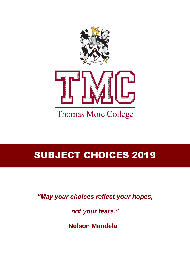



### SUBJECT CHOICES 2019

*"May your choices reflect your hopes,* 

*not your fears."*

 **Nelson Mandela**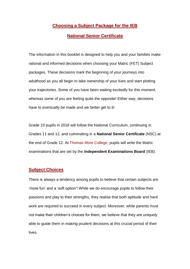### **Choosing a Subject Package for the IEB**

#### **National Senior Certificate**

The information in this booklet is designed to help you and your families make rational and informed decisions when choosing your Matric (FET) Subject packages. These decisions mark the beginning of your journeys into adulthood as you all begin to take ownership of your lives and start plotting your trajectories. Some of you have been waiting excitedly for this moment, whereas some of you are feeling quite the opposite! Either way, decisions have to eventually be made and we better get to it!

Grade 10 pupils in 2018 will follow the National Curriculum, continuing in Grades 11 and 12, and culminating in a **National Senior Certificate** (NSC) at the end of Grade 12. At Thomas More College, pupils will write the Matric examinations that are set by the **Independent Examinations Board** (IEB).

#### **Subject Choices**

There is always a tendency among pupils to believe that certain subjects are 'more fun' and a 'soft option'! While we do encourage pupils to follow their passions and play to their strengths, they realise that both aptitude and hard work are required to succeed in every subject. Moreover, while parents must not make their children's choices for them, we believe that they are uniquely able to guide them in making prudent decisions at this crucial period of their lives.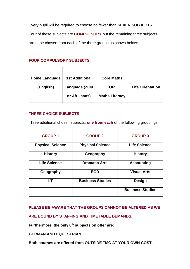Every pupil will be required to choose no fewer than **SEVEN SUBJECTS**. Four of these subjects are **COMPULSORY** but the remaining three subjects are to be chosen from each of the three groups as shown below:

#### **FOUR COMPULSORY SUBJECTS**

| <b>Home Language</b> | <b>1st Additional</b> | <b>Core Maths</b>     |                         |
|----------------------|-----------------------|-----------------------|-------------------------|
| (English)            | Language (Zulu        | <b>OR</b>             | <b>Life Orientation</b> |
|                      | or Afrikaans)         | <b>Maths Literacy</b> |                         |

#### **THREE CHOICE SUBJECTS**

Three additional chosen subjects, **one from each** of the following groupings:

| <b>GROUP1</b>           | <b>GROUP 2</b>          | <b>GROUP 3</b>          |
|-------------------------|-------------------------|-------------------------|
| <b>Physical Science</b> | <b>Physical Science</b> | <b>Life Science</b>     |
| <b>History</b>          | Geography               | <b>History</b>          |
| <b>Life Science</b>     | <b>Dramatic Arts</b>    | <b>Accounting</b>       |
| Geography               | <b>EGD</b>              | <b>Visual Arts</b>      |
| I.T                     | <b>Business Studies</b> | <b>Design</b>           |
|                         |                         | <b>Business Studies</b> |

#### **PLEASE BE AWARE THAT THE GROUPS CANNOT BE ALTERED AS WE**

**ARE BOUND BY STAFFING AND TIMETABLE DEMANDS.**

**Furthermore, the only 8th subjects on offer are:**

#### **GERMAN AND EQUESTRIAN**

**Both courses are offered from OUTSIDE TMC AT YOUR OWN COST.**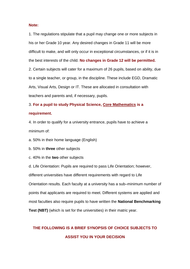#### **Note:**

1. The regulations stipulate that a pupil may change one or more subjects in his or her Grade 10 year. Any desired changes in Grade 11 will be more difficult to make, and will only occur in exceptional circumstances, or if it is in the best interests of the child. **No changes in Grade 12 will be permitted.** 2. Certain subjects will cater for a maximum of 26 pupils, based on ability, due to a single teacher, or group, in the discipline. These include EGD, Dramatic Arts, Visual Arts, Design or IT. These are allocated in consultation with teachers and parents and, if necessary, pupils.

### 3. **For a pupil to study Physical Science, Core Mathematics is a requirement.**

4. In order to qualify for a university entrance, pupils have to achieve a minimum of:

a. 50% in their home language (English)

b. 50% in **three** other subjects

c. 40% in the **two** other subjects

d. Life Orientation: Pupils are required to pass Life Orientation; however, different universities have different requirements with regard to Life Orientation results. Each faculty at a university has a sub–minimum number of points that applicants are required to meet. Different systems are applied and most faculties also require pupils to have written the **National Benchmarking Test (NBT)** (which is set for the universities) in their matric year.

### **THE FOLLOWING IS A BRIEF SYNOPSIS OF CHOICE SUBJECTS TO ASSIST YOU IN YOUR DECISION**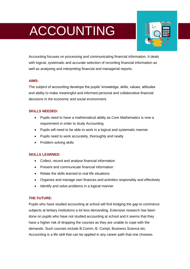# ACCOUNTING



Accounting focuses on processing and communicating financial information. It deals with logical, systematic and accurate selection of recording financial information as well as analysing and interpreting financial and managerial reports.

#### **AIMS:**

The subject of accounting develops the pupils' knowledge, skills, values, attitudes and ability to make meaningful and informed personal and collaborative financial decisions in the economic and social environment.

#### **SKILLS NEEDED:**

- Pupils need to have a mathematical ability as Core Mathematics is now a requirement in order to study Accounting
- Pupils will need to be able to work in a logical and systematic manner
- Pupils need to work accurately, thoroughly and neatly
- Problem solving skills

#### **SKILLS LEARNED:**

- Collect, record and analyse financial information
- Present and communicate financial information
- Relate the skills learned to real life situations
- Organize and manage own finances and activities responsibly and effectively
- Identify and solve problems in a logical manner

#### **THE FUTURE:**

Pupils who have studied accounting at school will find bridging the gap to commerce subjects at tertiary institutions a lot less demanding. Extensive research has been done on pupils who have not studied accounting at school and it seems that they have a higher risk of dropping the courses as they are unable to cope with the demands. Such courses include B.Comm, B. Compt, Business Science etc. Accounting is a life skill that can be applied in any career path that one chooses.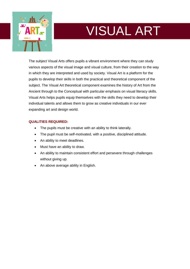

# VISUAL ART

The subject Visual Arts offers pupils a vibrant environment where they can study various aspects of the visual image and visual culture, from their creation to the way in which they are interpreted and used by society. Visual Art is a platform for the pupils to develop their skills in both the practical and theoretical component of the subject. The Visual Art theoretical component examines the history of Art from the Ancient through to the Conceptual with particular emphasis on visual literacy skills. Visual Arts helps pupils equip themselves with the skills they need to develop their individual talents and allows them to grow as creative individuals in our ever expanding art and design world.

#### **QUALITIES REQUIRED:**

- The pupils must be creative with an ability to think laterally.
- The pupil must be self-motivated, with a positive, disciplined attitude.
- An ability to meet deadlines.
- Must have an ability to draw.
- An ability to maintain consistent effort and persevere through challenges without giving up.
- An above average ability in English.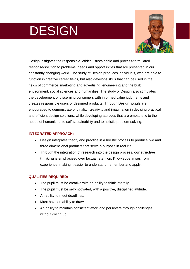# DESIGN



Design instigates the responsible, ethical, sustainable and process-formulated response/solution to problems, needs and opportunities that are presented in our constantly changing world. The study of Design produces individuals, who are able to function in creative career fields, but also develops skills that can be used in the fields of commerce, marketing and advertising, engineering and the built environment, social sciences and humanities. The study of Design also stimulates the development of discerning consumers with informed value judgments and creates responsible users of designed products. Through Design, pupils are encouraged to demonstrate originality, creativity and imagination in devising practical and efficient design solutions, while developing attitudes that are empathetic to the needs of humankind, to self-sustainability and to holistic problem-solving.

#### **INTEGRATED APPROACH:**

- Design integrates theory and practice in a holistic process to produce two and three dimensional products that serve a purpose in real life.
- Through the integration of research into the design process, **constructive thinking** is emphasised over factual retention. Knowledge arises from experience, making it easier to understand, remember and apply.

#### **QUALITIES REQUIRED:**

- The pupil must be creative with an ability to think laterally.
- The pupil must be self-motivated, with a positive, disciplined attitude.
- An ability to meet deadlines.
- Must have an ability to draw.
- An ability to maintain consistent effort and persevere through challenges without giving up.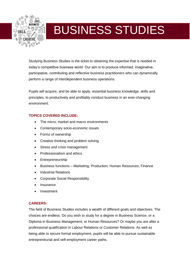

### BUSINESS STUDIES

Studying Business Studies is the ticket to obtaining the expertise that is needed in today's competitive business world. Our aim is to produce informed, imaginative, participative, contributing and reflective business practitioners who can dynamically perform a range of interdependent business operations.

Pupils will acquire, and be able to apply, essential business knowledge, skills and principles, to productively and profitably conduct business in an ever-changing environment.

#### **TOPICS COVERED INCLUDE:**

- The micro, market and macro environments
- Contemporary socio-economic issues
- Forms of ownership
- Creative thinking and problem solving
- Stress and crisis management
- Professionalism and ethics
- Entrepreneurship
- Business functions Marketing; Production; Human Resources; Finance
- Industrial Relations
- Corporate Social Responsibility
- **Insurance**
- Investment

#### **CAREERS:**

The field of Business Studies includes a wealth of different goals and objectives. The choices are endless. Do you wish to study for a degree in Business Science, or a Diploma in Business Management, or Human Resources? Or maybe you are after a professional qualification in Labour Relations or Customer Relations. As well as being able to secure formal employment, pupils will be able to pursue sustainable entrepreneurial and self-employment career paths.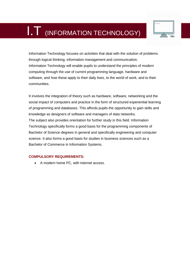

Information Technology focuses on activities that deal with the solution of problems through logical thinking, information management and communication. Information Technology will enable pupils to understand the principles of modern computing through the use of current programming language, hardware and software, and how these apply to their daily lives, to the world of work, and to their communities.

It involves the integration of theory such as hardware, software, networking and the social impact of computers and practice in the form of structured experiential learning of programming and databases. This affords pupils the opportunity to gain skills and knowledge as designers of software and managers of data networks. The subject also provides orientation for further study in this field. Information Technology specifically forms a good basis for the programming components of Bachelor of Science degrees in general and specifically engineering and computer science. It also forms a good basis for studies in business sciences such as a Bachelor of Commerce in Information Systems.

#### **COMPULSORY REQUIREMENTS:**

A modern home PC, with internet access.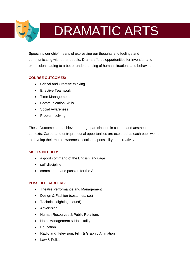

# **DRAMATIC ARTS**

Speech is our chief means of expressing our thoughts and feelings and communicating with other people. Drama affords opportunities for invention and expression leading to a better understanding of human situations and behaviour.

#### **COURSE OUTCOMES:**

- Critical and Creative thinking
- Effective Teamwork
- Time Management
- Communication Skills
- Social Awareness
- Problem-solving

These Outcomes are achieved through participation in cultural and aesthetic contexts. Career and entrepreneurial opportunities are explored as each pupil works to develop their moral awareness, social responsibility and creativity.

#### **SKILLS NEEDED:**

- a good command of the English language
- self-discipline
- commitment and passion for the Arts

#### **POSSIBLE CAREERS:**

- Theatre Performance and Management
- Design & Fashion (costumes, set)
- Technical (lighting, sound)
- Advertising
- Human Resources & Public Relations
- Hotel Management & Hospitality
- Education
- Radio and Television, Film & Graphic Animation
- Law & Politic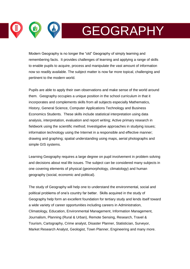GEOGRAPHY

Modern Geography is no longer the "old" Geography of simply learning and remembering facts. It provides challenges of learning and applying a range of skills to enable pupils to acquire, process and manipulate the vast amount of information now so readily available. The subject matter is now far more topical, challenging and pertinent to the modern world.

Pupils are able to apply their own observations and make sense of the world around them. Geography occupies a unique position in the school curriculum in that it incorporates and complements skills from all subjects especially Mathematics, History, General Science, Computer Applications Technology and Business Economics Students. These skills include statistical interpretation using data analysis, interpretation, evaluation and report writing; Active primary research in fieldwork using the scientific method; Investigative approaches in studying issues; information technology using the Internet in a responsible and effective manner; drawing and graphing; spatial understanding using maps, aerial photographs and simple GIS systems.

Learning Geography requires a large degree on pupil involvement in problem solving and decisions about real life issues. The subject can be considered many subjects in one covering elements of physical (geomorphology, climatology) and human geography (social, economic and political).

The study of Geography will help one to understand the environmental, social and political problems of one's country far better. Skills acquired in the study of Geography help form an excellent foundation for tertiary study and lends itself toward a wide variety of career opportunities including careers in Administration, Climatology, Education, Environmental Management, Information Management, Journalism, Planning (Rural & Urban), Remote Sensing, Research, Travel & Tourism, Cartography, Crime analyst, Disaster Planner, Statistician, Surveyor, Market Research Analyst, Geologist, Town Planner, Engineering and many more.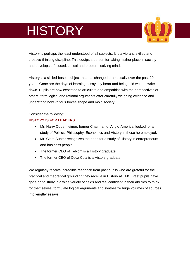# **HISTORY**



History is perhaps the least understood of all subjects. It is a vibrant, skilled and creative-thinking discipline. This equips a person for taking his/her place in society and develops a focused, critical and problem–solving mind.

History is a skilled-based subject that has changed dramatically over the past 20 years. Gone are the days of learning essays by heart and being told what to write down. Pupils are now expected to articulate and empathise with the perspectives of others, form logical and rational arguments after carefully weighing evidence and understand how various forces shape and mold society.

#### Consider the following:

#### **HISTORY IS FOR LEADERS**

- Mr. Harry Oppenheimer, former Chairman of Anglo-America, looked for a study of Politics, Philosophy, Economics and History in those he employed.
- Mr. Clem Sunter recognizes the need for a study of History in entrepreneurs and business people
- The former CEO of Telkom is a History graduate
- The former CEO of Coca Cola is a History graduate.

We regularly receive incredible feedback from past pupils who are grateful for the practical and theoretical grounding they receive in History at TMC. Past pupils have gone on to study in a wide variety of fields and feel confident in their abilities to think for themselves, formulate logical arguments and synthesize huge volumes of sources into lengthy essays.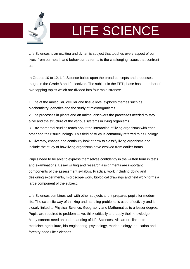

# LIFE SCIENCE

Life Sciences is an exciting and dynamic subject that touches every aspect of our lives, from our health and behaviour patterns, to the challenging issues that confront us.

In Grades 10 to 12, Life Science builds upon the broad concepts and processes taught in the Grade 8 and 9 electives. The subject in the FET phase has a number of overlapping topics which are divided into four main strands:

1. Life at the molecular, cellular and tissue level explores themes such as biochemistry, genetics and the study of microorganisms.

2. Life processes in plants and an animal discovers the processes needed to stay alive and the structure of the various systems in living organisms.

3. Environmental studies teach about the interaction of living organisms with each other and their surroundings. This field of study is commonly referred to as Ecology.

4. Diversity, change and continuity look at how to classify living organisms and include the study of how living organisms have evolved from earlier forms.

Pupils need to be able to express themselves confidently in the written form in tests and examinations. Essay writing and research assignments are important components of the assessment syllabus. Practical work including doing and designing experiments, microscope work, biological drawings and field work forms a large component of the subject.

Life Sciences combines well with other subjects and it prepares pupils for modern life. The scientific way of thinking and handling problems is used effectively and is closely linked to Physical Science, Geography and Mathematics to a lesser degree. Pupils are required to problem solve, think critically and apply their knowledge. Many careers need an understanding of Life Sciences. All careers linked to medicine, agriculture, bio-engineering, psychology, marine biology, education and forestry need Life Sciences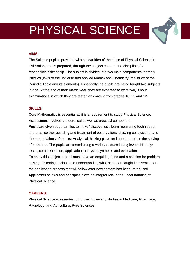### PHYSICAL SCIENCE

#### **AIMS:**

The Science pupil is provided with a clear idea of the place of Physical Science in civilisation, and is prepared, through the subject content and discipline, for responsible citizenship. The subject is divided into two main components, namely Physics (laws of the universe and applied Maths) and Chemistry (the study of the Periodic Table and its elements). Essentially the pupils are being taught two subjects in one. At the end of their matric year, they are expected to write two, 3 hour examinations in which they are tested on content from grades 10, 11 and 12.

#### **SKILLS:**

Core Mathematics is essential as it is a requirement to study Physical Science. Assessment involves a theoretical as well as practical component. Pupils are given opportunities to make "discoveries", learn measuring techniques, and practice the recording and treatment of observations, drawing conclusions, and the presentations of results. Analytical thinking plays an important role in the solving of problems. The pupils are tested using a variety of questioning levels. Namely: recall, comprehension, application, analysis, synthesis and evaluation. To enjoy this subject a pupil must have an enquiring mind and a passion for problem solving. Listening in class and understanding what has been taught is essential for the application process that will follow after new content has been introduced. Application of laws and principles plays an integral role in the understanding of Physical Science.

#### **CAREERS:**

Physical Science is essential for further University studies in Medicine, Pharmacy, Radiology, and Agriculture, Pure Sciences.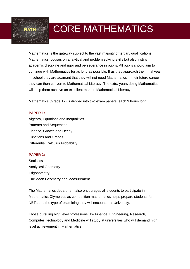MATH THE CORE MATHEMATICS

Mathematics is the gateway subject to the vast majority of tertiary qualifications. Mathematics focuses on analytical and problem solving skills but also instills academic discipline and rigor and perseverance in pupils. All pupils should aim to continue with Mathematics for as long as possible. If as they approach their final year in school they are adamant that they will not need Mathematics in their future career they can then convert to Mathematical Literacy. The extra years doing Mathematics will help them achieve an excellent mark in Mathematical Literacy.

Mathematics (Grade 12) is divided into two exam papers, each 3 hours long.

#### **PAPER 1:**

Algebra, Equations and Inequalities Patterns and Sequences Finance, Growth and Decay Functions and Graphs Differential Calculus Probability

#### **PAPER 2:**

**Statistics** Analytical Geometry **Trigonometry** Euclidean Geometry and Measurement.

The Mathematics department also encourages all students to participate in Mathematics Olympiads as competition mathematics helps prepare students for NBTs and the type of examining they will encounter at University.

Those pursuing high level professions like Finance, Engineering, Research, Computer Technology and Medicine will study at universities who will demand high level achievement in Mathematics.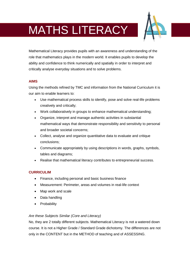## MATHS LITERACY



Mathematical Literacy provides pupils with an awareness and understanding of the role that mathematics plays in the modern world. It enables pupils to develop the ability and confidence to think numerically and spatially in order to interpret and critically analyse everyday situations and to solve problems.

#### **AIMS**

Using the methods refined by TMC and information from the National Curriculum it is our aim to enable learners to:

- Use mathematical process skills to identify, pose and solve real-life problems creatively and critically;
- Work collaboratively in groups to enhance mathematical understanding;
- Organize, interpret and manage authentic activities in substantial mathematical ways that demonstrate responsibility and sensitivity to personal and broader societal concerns;
- Collect, analyse and organize quantitative data to evaluate and critique conclusions;
- Communicate appropriately by using descriptions in words, graphs, symbols, tables and diagrams;
- Realise that mathematical literacy contributes to entrepreneurial success.

#### **CURRICULIM**

- Finance, including personal and basic business finance
- Measurement: Perimeter, areas and volumes in real-life context
- Map work and scale
- Data handling
- Probability

#### *Are these Subjects Similar (Core and Literacy)*

No, they are 2 totally different subjects. Mathematical Literacy is not a watered down course. It is not a Higher Grade / Standard Grade dichotomy. The differences are not only in the CONTENT but in the METHOD of teaching and of ASSESSING.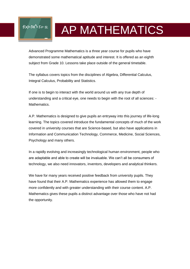## f(x)=3x<sup>x</sup>+5x-12 AP MATHEMATICS

Advanced Programme Mathematics is a three year course for pupils who have demonstrated some mathematical aptitude and interest. It is offered as an eighth subject from Grade 10. Lessons take place outside of the general timetable.

The syllabus covers topics from the disciplines of Algebra, Differential Calculus, Integral Calculus, Probability and Statistics.

If one is to begin to interact with the world around us with any true depth of understanding and a critical eye, one needs to begin with the root of all sciences: - **Mathematics** 

A.P. Mathematics is designed to give pupils an entryway into this journey of life-long learning. The topics covered introduce the fundamental concepts of much of the work covered in university courses that are Science-based, but also have applications in Information and Communication Technology, Commerce, Medicine, Social Sciences, Psychology and many others.

In a rapidly evolving and increasingly technological human environment, people who are adaptable and able to create will be invaluable. We can't all be consumers of technology, we also need innovators, inventors, developers and analytical thinkers.

We have for many years received positive feedback from university pupils. They have found that their A.P. Mathematics experience has allowed them to engage more confidently and with greater understanding with their course content. A.P. Mathematics gives these pupils a distinct advantage over those who have not had the opportunity.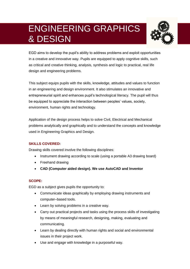### ENGINEERING GRAPHICS & DESIGN



EGD aims to develop the pupil's ability to address problems and exploit opportunities in a creative and innovative way. Pupils are equipped to apply cognitive skills, such as critical and creative thinking, analysis, synthesis and logic to practical, real life design and engineering problems.

This subject equips pupils with the skills, knowledge, attitudes and values to function in an engineering and design environment. It also stimulates an innovative and entrepreneurial spirit and enhances pupil's technological literacy. The pupil will thus be equipped to appreciate the interaction between peoples' values, society, environment, human rights and technology.

Application of the design process helps to solve Civil, Electrical and Mechanical problems analytically and graphically and to understand the concepts and knowledge used in Engineering Graphics and Design.

#### **SKILLS COVERED:**

Drawing skills covered involve the following disciplines:

- Instrument drawing according to scale (using a portable A3 drawing board)
- Freehand drawing
- **CAD (Computer aided design). We use AutoCAD and Inventor**

#### **SCOPE:**

EGD as a subject gives pupils the opportunity to:

- Communicate ideas graphically by employing drawing instruments and computer–based tools.
- Learn by solving problems in a creative way.
- Carry out practical projects and tasks using the process skills of investigating by means of meaningful research, designing, making, evaluating and communicating.
- Learn by dealing directly with human rights and social and environmental issues in their project work.
- Use and engage with knowledge in a purposeful way.